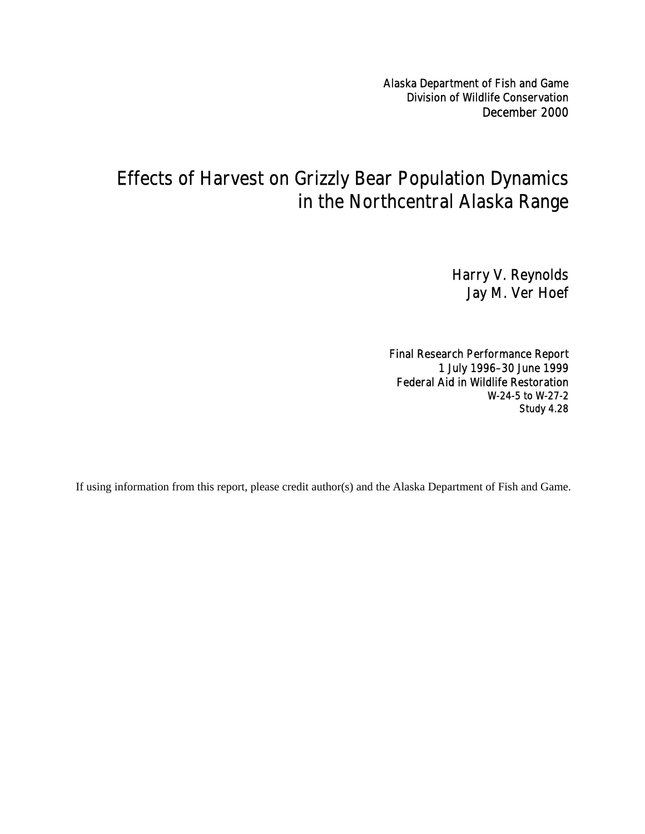Alaska Department of Fish and Game Division of Wildlife Conservation December 2000

# Effects of Harvest on Grizzly Bear Population Dynamics in the Northcentral Alaska Range

Harry V. Reynolds Jay M. Ver Hoef

Final Research Performance Report 1 July 1996–30 June 1999 Federal Aid in Wildlife Restoration W-24-5 to W-27-2 Study 4.28

If using information from this report, please credit author(s) and the Alaska Department of Fish and Game.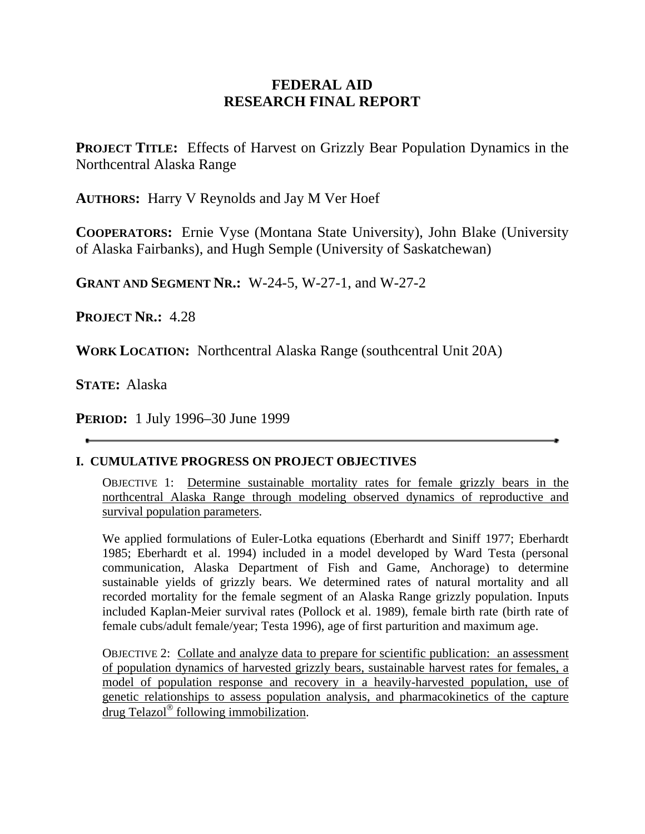## **FEDERAL AID RESEARCH FINAL REPORT**

**PROJECT TITLE:** Effects of Harvest on Grizzly Bear Population Dynamics in the Northcentral Alaska Range

**AUTHORS:** Harry V Reynolds and Jay M Ver Hoef

**COOPERATORS:** Ernie Vyse (Montana State University), John Blake (University of Alaska Fairbanks), and Hugh Semple (University of Saskatchewan)

**GRANT AND SEGMENT NR.:** W-24-5, W-27-1, and W-27-2

**PROJECT NR.:** 4.28

**WORK LOCATION:** Northcentral Alaska Range (southcentral Unit 20A)

**STATE:** Alaska

**PERIOD:** 1 July 1996–30 June 1999

#### **I. CUMULATIVE PROGRESS ON PROJECT OBJECTIVES**

OBJECTIVE 1: Determine sustainable mortality rates for female grizzly bears in the northcentral Alaska Range through modeling observed dynamics of reproductive and survival population parameters.

We applied formulations of Euler-Lotka equations (Eberhardt and Siniff 1977; Eberhardt 1985; Eberhardt et al. 1994) included in a model developed by Ward Testa (personal communication, Alaska Department of Fish and Game, Anchorage) to determine sustainable yields of grizzly bears. We determined rates of natural mortality and all recorded mortality for the female segment of an Alaska Range grizzly population. Inputs included Kaplan-Meier survival rates (Pollock et al. 1989), female birth rate (birth rate of female cubs/adult female/year; Testa 1996), age of first parturition and maximum age.

OBJECTIVE 2: Collate and analyze data to prepare for scientific publication: an assessment of population dynamics of harvested grizzly bears, sustainable harvest rates for females, a model of population response and recovery in a heavily-harvested population, use of genetic relationships to assess population analysis, and pharmacokinetics of the capture drug Telazol<sup> $\circledast$ </sup> following immobilization.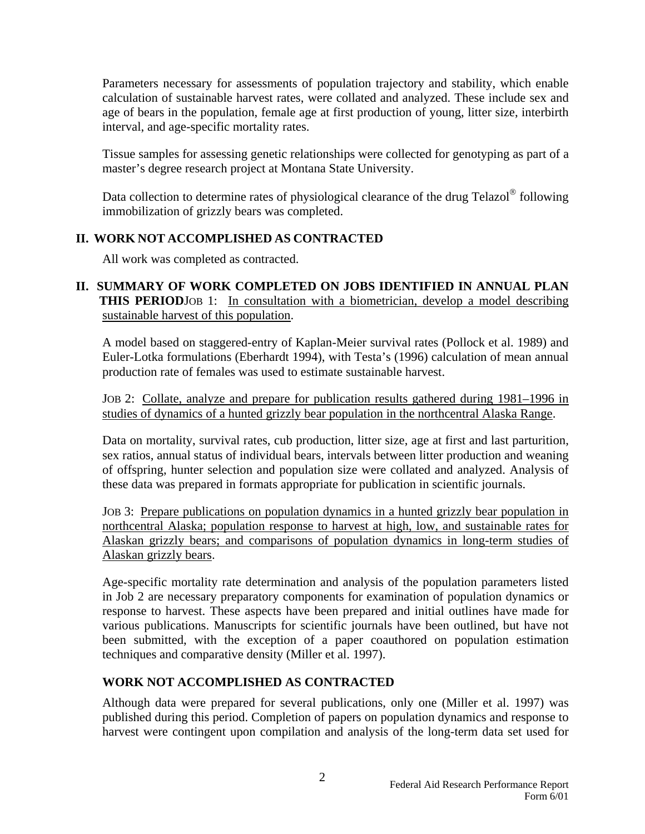Parameters necessary for assessments of population trajectory and stability, which enable calculation of sustainable harvest rates, were collated and analyzed. These include sex and age of bears in the population, female age at first production of young, litter size, interbirth interval, and age-specific mortality rates.

Tissue samples for assessing genetic relationships were collected for genotyping as part of a master's degree research project at Montana State University.

Data collection to determine rates of physiological clearance of the drug Telazol<sup>®</sup> following immobilization of grizzly bears was completed.

### **II. WORK NOT ACCOMPLISHED AS CONTRACTED**

All work was completed as contracted.

#### **II. SUMMARY OF WORK COMPLETED ON JOBS IDENTIFIED IN ANNUAL PLAN THIS PERIOD**JOB 1: In consultation with a biometrician, develop a model describing sustainable harvest of this population.

A model based on staggered-entry of Kaplan-Meier survival rates (Pollock et al. 1989) and Euler-Lotka formulations (Eberhardt 1994), with Testa's (1996) calculation of mean annual production rate of females was used to estimate sustainable harvest.

JOB 2:Collate, analyze and prepare for publication results gathered during 1981–1996 in studies of dynamics of a hunted grizzly bear population in the northcentral Alaska Range.

Data on mortality, survival rates, cub production, litter size, age at first and last parturition, sex ratios, annual status of individual bears, intervals between litter production and weaning of offspring, hunter selection and population size were collated and analyzed. Analysis of these data was prepared in formats appropriate for publication in scientific journals.

JOB 3: Prepare publications on population dynamics in a hunted grizzly bear population in northcentral Alaska; population response to harvest at high, low, and sustainable rates for Alaskan grizzly bears; and comparisons of population dynamics in long-term studies of Alaskan grizzly bears.

Age-specific mortality rate determination and analysis of the population parameters listed in Job 2 are necessary preparatory components for examination of population dynamics or response to harvest. These aspects have been prepared and initial outlines have made for various publications. Manuscripts for scientific journals have been outlined, but have not been submitted, with the exception of a paper coauthored on population estimation techniques and comparative density (Miller et al. 1997).

#### **WORK NOT ACCOMPLISHED AS CONTRACTED**

Although data were prepared for several publications, only one (Miller et al. 1997) was published during this period. Completion of papers on population dynamics and response to harvest were contingent upon compilation and analysis of the long-term data set used for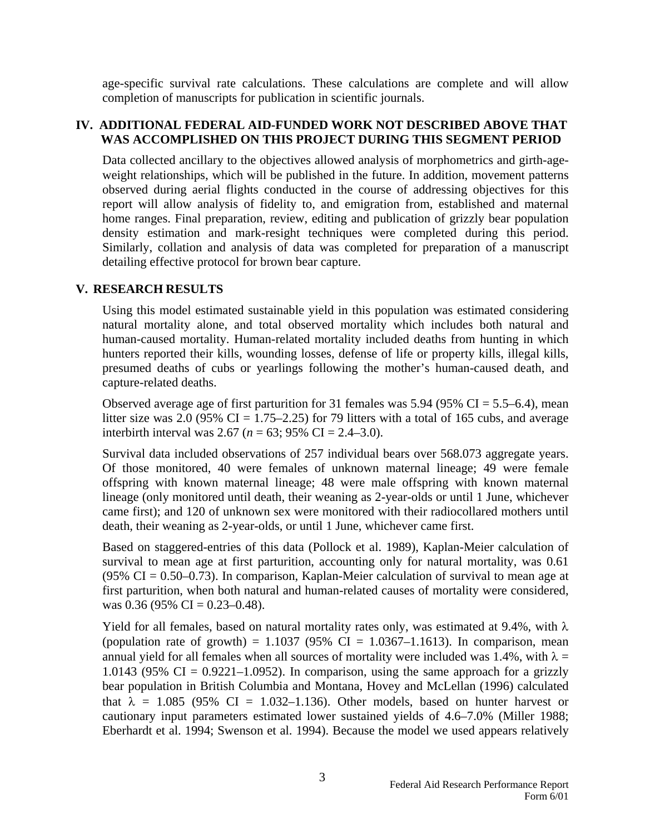age-specific survival rate calculations. These calculations are complete and will allow completion of manuscripts for publication in scientific journals.

#### **IV. ADDITIONAL FEDERAL AID-FUNDED WORK NOT DESCRIBED ABOVE THAT WAS ACCOMPLISHED ON THIS PROJECT DURING THIS SEGMENT PERIOD**

Data collected ancillary to the objectives allowed analysis of morphometrics and girth-ageweight relationships, which will be published in the future. In addition, movement patterns observed during aerial flights conducted in the course of addressing objectives for this report will allow analysis of fidelity to, and emigration from, established and maternal home ranges. Final preparation, review, editing and publication of grizzly bear population density estimation and mark-resight techniques were completed during this period. Similarly, collation and analysis of data was completed for preparation of a manuscript detailing effective protocol for brown bear capture.

#### **V. RESEARCH RESULTS**

Using this model estimated sustainable yield in this population was estimated considering natural mortality alone, and total observed mortality which includes both natural and human-caused mortality. Human-related mortality included deaths from hunting in which hunters reported their kills, wounding losses, defense of life or property kills, illegal kills, presumed deaths of cubs or yearlings following the mother's human-caused death, and capture-related deaths.

Observed average age of first parturition for 31 females was  $5.94$  ( $95\%$  CI =  $5.5-6.4$ ), mean litter size was 2.0 (95% CI = 1.75–2.25) for 79 litters with a total of 165 cubs, and average interbirth interval was 2.67 ( $n = 63$ ; 95% CI = 2.4–3.0).

Survival data included observations of 257 individual bears over 568.073 aggregate years. Of those monitored, 40 were females of unknown maternal lineage; 49 were female offspring with known maternal lineage; 48 were male offspring with known maternal lineage (only monitored until death, their weaning as 2-year-olds or until 1 June, whichever came first); and 120 of unknown sex were monitored with their radiocollared mothers until death, their weaning as 2-year-olds, or until 1 June, whichever came first.

Based on staggered-entries of this data (Pollock et al. 1989), Kaplan-Meier calculation of survival to mean age at first parturition, accounting only for natural mortality, was 0.61 (95% CI =  $0.50-0.73$ ). In comparison, Kaplan-Meier calculation of survival to mean age at first parturition, when both natural and human-related causes of mortality were considered, was 0.36 (95% CI = 0.23–0.48).

Yield for all females, based on natural mortality rates only, was estimated at 9.4%, with  $\lambda$ (population rate of growth) =  $1.1037$  (95% CI =  $1.0367-1.1613$ ). In comparison, mean annual yield for all females when all sources of mortality were included was 1.4%, with  $\lambda =$ 1.0143 (95% CI =  $0.9221-1.0952$ ). In comparison, using the same approach for a grizzly bear population in British Columbia and Montana, Hovey and McLellan (1996) calculated that  $\lambda = 1.085$  (95% CI = 1.032–1.136). Other models, based on hunter harvest or cautionary input parameters estimated lower sustained yields of 4.6–7.0% (Miller 1988; Eberhardt et al. 1994; Swenson et al. 1994). Because the model we used appears relatively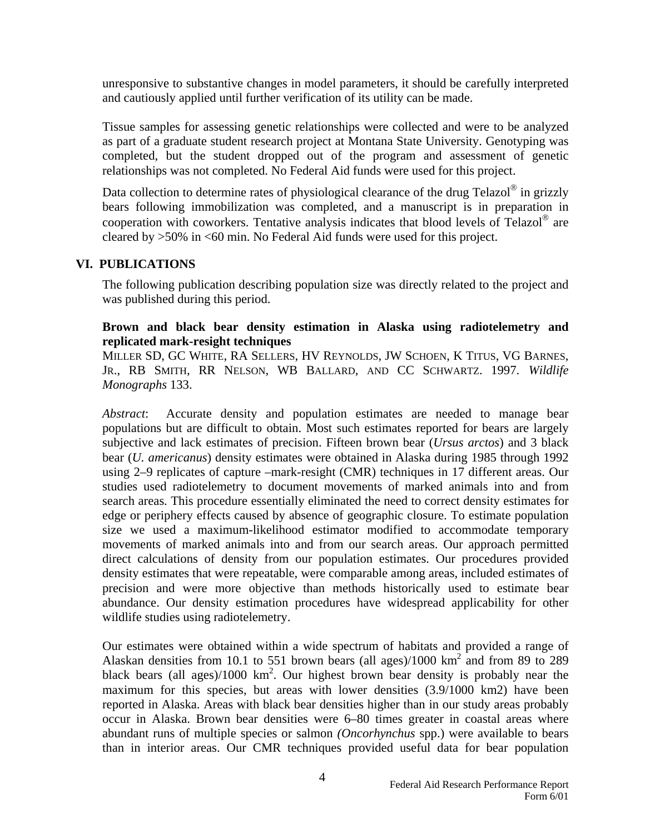unresponsive to substantive changes in model parameters, it should be carefully interpreted and cautiously applied until further verification of its utility can be made.

Tissue samples for assessing genetic relationships were collected and were to be analyzed as part of a graduate student research project at Montana State University. Genotyping was completed, but the student dropped out of the program and assessment of genetic relationships was not completed. No Federal Aid funds were used for this project.

Data collection to determine rates of physiological clearance of the drug Telazol $^{\circ}$  in grizzly bears following immobilization was completed, and a manuscript is in preparation in cooperation with coworkers. Tentative analysis indicates that blood levels of Telazol $^{\circledR}$  are cleared by >50% in <60 min. No Federal Aid funds were used for this project.

#### **VI. PUBLICATIONS**

The following publication describing population size was directly related to the project and was published during this period.

#### **Brown and black bear density estimation in Alaska using radiotelemetry and replicated mark-resight techniques**

MILLER SD, GC WHITE, RA SELLERS, HV REYNOLDS, JW SCHOEN, K TITUS, VG BARNES, JR., RB SMITH, RR NELSON, WB BALLARD, AND CC SCHWARTZ. 1997. *Wildlife Monographs* 133.

*Abstract*: Accurate density and population estimates are needed to manage bear populations but are difficult to obtain. Most such estimates reported for bears are largely subjective and lack estimates of precision. Fifteen brown bear (*Ursus arctos*) and 3 black bear (*U. americanus*) density estimates were obtained in Alaska during 1985 through 1992 using 2–9 replicates of capture –mark-resight (CMR) techniques in 17 different areas. Our studies used radiotelemetry to document movements of marked animals into and from search areas. This procedure essentially eliminated the need to correct density estimates for edge or periphery effects caused by absence of geographic closure. To estimate population size we used a maximum-likelihood estimator modified to accommodate temporary movements of marked animals into and from our search areas. Our approach permitted direct calculations of density from our population estimates. Our procedures provided density estimates that were repeatable, were comparable among areas, included estimates of precision and were more objective than methods historically used to estimate bear abundance. Our density estimation procedures have widespread applicability for other wildlife studies using radiotelemetry.

Our estimates were obtained within a wide spectrum of habitats and provided a range of Alaskan densities from 10.1 to 551 brown bears (all ages)/1000  $\text{km}^2$  and from 89 to 289 black bears (all ages)/1000  $km^2$ . Our highest brown bear density is probably near the maximum for this species, but areas with lower densities (3.9/1000 km2) have been reported in Alaska. Areas with black bear densities higher than in our study areas probably occur in Alaska. Brown bear densities were 6–80 times greater in coastal areas where abundant runs of multiple species or salmon *(Oncorhynchus* spp.) were available to bears than in interior areas. Our CMR techniques provided useful data for bear population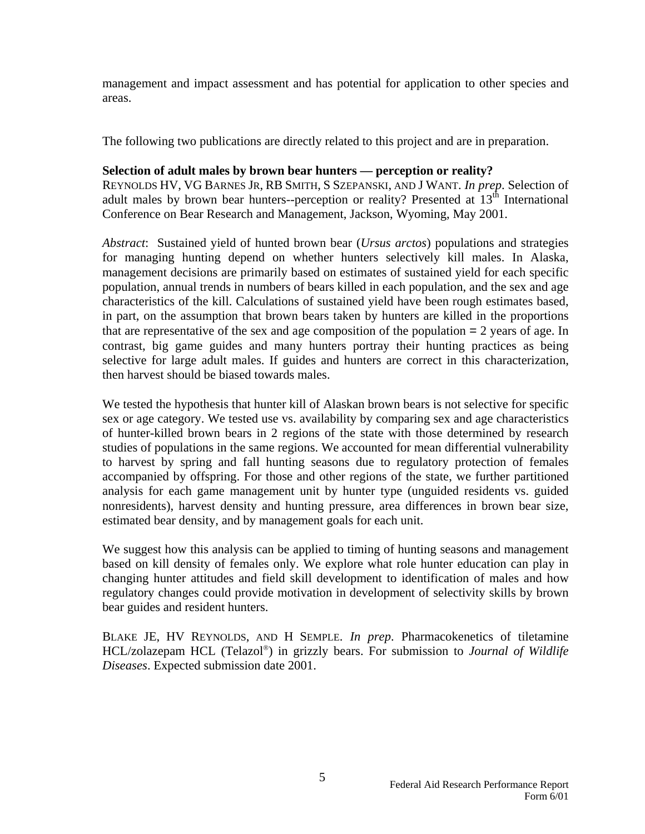management and impact assessment and has potential for application to other species and areas.

The following two publications are directly related to this project and are in preparation.

#### **Selection of adult males by brown bear hunters — perception or reality?**

REYNOLDS HV, VG BARNES JR, RB SMITH, S SZEPANSKI, AND J WANT. *In prep*. Selection of adult males by brown bear hunters--perception or reality? Presented at  $13<sup>th</sup>$  International Conference on Bear Research and Management, Jackson, Wyoming, May 2001.

*Abstract*: Sustained yield of hunted brown bear (*Ursus arctos*) populations and strategies for managing hunting depend on whether hunters selectively kill males. In Alaska, management decisions are primarily based on estimates of sustained yield for each specific population, annual trends in numbers of bears killed in each population, and the sex and age characteristics of the kill. Calculations of sustained yield have been rough estimates based, in part, on the assumption that brown bears taken by hunters are killed in the proportions that are representative of the sex and age composition of the population = 2 years of age. In contrast, big game guides and many hunters portray their hunting practices as being selective for large adult males. If guides and hunters are correct in this characterization, then harvest should be biased towards males.

We tested the hypothesis that hunter kill of Alaskan brown bears is not selective for specific sex or age category. We tested use vs. availability by comparing sex and age characteristics of hunter-killed brown bears in 2 regions of the state with those determined by research studies of populations in the same regions. We accounted for mean differential vulnerability to harvest by spring and fall hunting seasons due to regulatory protection of females accompanied by offspring. For those and other regions of the state, we further partitioned analysis for each game management unit by hunter type (unguided residents vs. guided nonresidents), harvest density and hunting pressure, area differences in brown bear size, estimated bear density, and by management goals for each unit.

We suggest how this analysis can be applied to timing of hunting seasons and management based on kill density of females only. We explore what role hunter education can play in changing hunter attitudes and field skill development to identification of males and how regulatory changes could provide motivation in development of selectivity skills by brown bear guides and resident hunters.

BLAKE JE, HV REYNOLDS, AND H SEMPLE. *In prep*. Pharmacokenetics of tiletamine HCL/zolazepam HCL (Telazol<sup>®</sup>) in grizzly bears. For submission to *Journal of Wildlife Diseases*. Expected submission date 2001.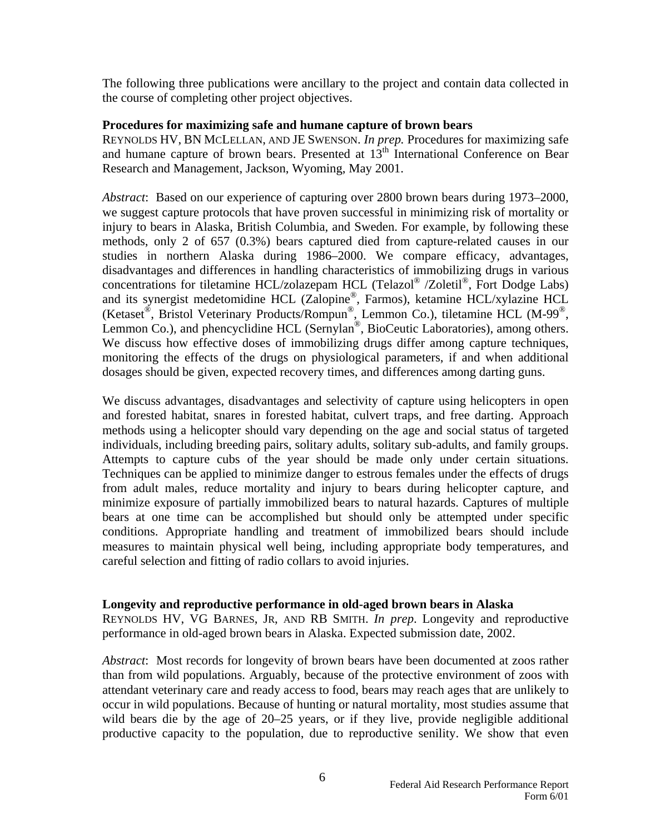The following three publications were ancillary to the project and contain data collected in the course of completing other project objectives.

#### **Procedures for maximizing safe and humane capture of brown bears**

REYNOLDS HV, BN MCLELLAN, AND JE SWENSON. *In prep.* Procedures for maximizing safe and humane capture of brown bears. Presented at  $13<sup>th</sup>$  International Conference on Bear Research and Management, Jackson, Wyoming, May 2001.

*Abstract*: Based on our experience of capturing over 2800 brown bears during 1973–2000, we suggest capture protocols that have proven successful in minimizing risk of mortality or injury to bears in Alaska, British Columbia, and Sweden. For example, by following these methods, only 2 of 657 (0.3%) bears captured died from capture-related causes in our studies in northern Alaska during 1986–2000. We compare efficacy, advantages, disadvantages and differences in handling characteristics of immobilizing drugs in various concentrations for tiletamine HCL/zolazepam HCL (Telazol® /Zoletil®, Fort Dodge Labs) and its synergist medetomidine HCL (Zalopine®, Farmos), ketamine HCL/xylazine HCL (Ketaset®, Bristol Veterinary Products/Rompun®, Lemmon Co.), tiletamine HCL (M-99®, Lemmon Co.), and phencyclidine HCL (Sernylan®, BioCeutic Laboratories), among others. We discuss how effective doses of immobilizing drugs differ among capture techniques, monitoring the effects of the drugs on physiological parameters, if and when additional dosages should be given, expected recovery times, and differences among darting guns.

We discuss advantages, disadvantages and selectivity of capture using helicopters in open and forested habitat, snares in forested habitat, culvert traps, and free darting. Approach methods using a helicopter should vary depending on the age and social status of targeted individuals, including breeding pairs, solitary adults, solitary sub-adults, and family groups. Attempts to capture cubs of the year should be made only under certain situations. Techniques can be applied to minimize danger to estrous females under the effects of drugs from adult males, reduce mortality and injury to bears during helicopter capture, and minimize exposure of partially immobilized bears to natural hazards. Captures of multiple bears at one time can be accomplished but should only be attempted under specific conditions. Appropriate handling and treatment of immobilized bears should include measures to maintain physical well being, including appropriate body temperatures, and careful selection and fitting of radio collars to avoid injuries.

#### **Longevity and reproductive performance in old-aged brown bears in Alaska**

REYNOLDS HV, VG BARNES, JR, AND RB SMITH. *In prep*. Longevity and reproductive performance in old-aged brown bears in Alaska. Expected submission date, 2002.

*Abstract*: Most records for longevity of brown bears have been documented at zoos rather than from wild populations. Arguably, because of the protective environment of zoos with attendant veterinary care and ready access to food, bears may reach ages that are unlikely to occur in wild populations. Because of hunting or natural mortality, most studies assume that wild bears die by the age of 20–25 years, or if they live, provide negligible additional productive capacity to the population, due to reproductive senility. We show that even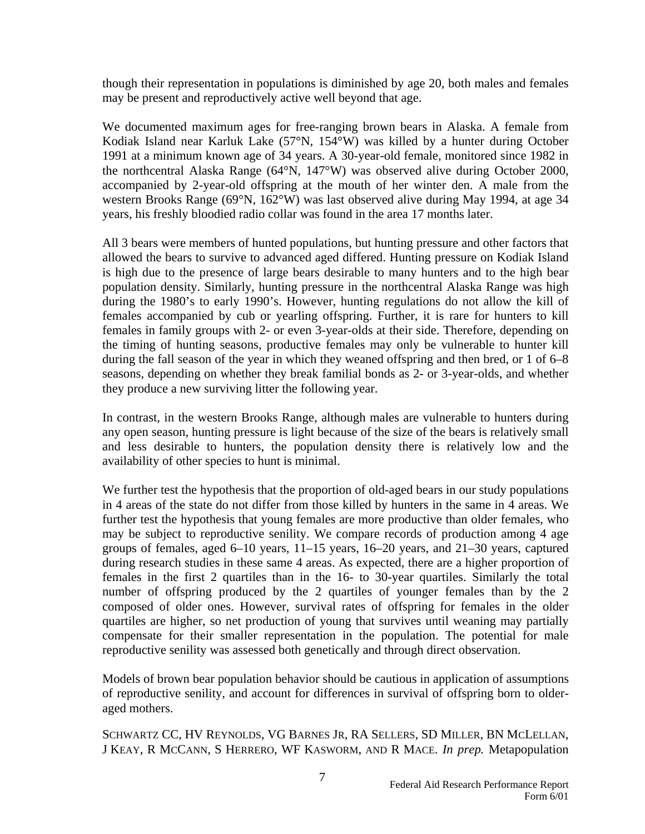though their representation in populations is diminished by age 20, both males and females may be present and reproductively active well beyond that age.

We documented maximum ages for free-ranging brown bears in Alaska. A female from Kodiak Island near Karluk Lake (57°N, 154°W) was killed by a hunter during October 1991 at a minimum known age of 34 years. A 30-year-old female, monitored since 1982 in the northcentral Alaska Range (64°N, 147°W) was observed alive during October 2000, accompanied by 2-year-old offspring at the mouth of her winter den. A male from the western Brooks Range (69°N, 162°W) was last observed alive during May 1994, at age 34 years, his freshly bloodied radio collar was found in the area 17 months later.

All 3 bears were members of hunted populations, but hunting pressure and other factors that allowed the bears to survive to advanced aged differed. Hunting pressure on Kodiak Island is high due to the presence of large bears desirable to many hunters and to the high bear population density. Similarly, hunting pressure in the northcentral Alaska Range was high during the 1980's to early 1990's. However, hunting regulations do not allow the kill of females accompanied by cub or yearling offspring. Further, it is rare for hunters to kill females in family groups with 2- or even 3-year-olds at their side. Therefore, depending on the timing of hunting seasons, productive females may only be vulnerable to hunter kill during the fall season of the year in which they weaned offspring and then bred, or 1 of 6–8 seasons, depending on whether they break familial bonds as 2- or 3-year-olds, and whether they produce a new surviving litter the following year.

In contrast, in the western Brooks Range, although males are vulnerable to hunters during any open season, hunting pressure is light because of the size of the bears is relatively small and less desirable to hunters, the population density there is relatively low and the availability of other species to hunt is minimal.

We further test the hypothesis that the proportion of old-aged bears in our study populations in 4 areas of the state do not differ from those killed by hunters in the same in 4 areas. We further test the hypothesis that young females are more productive than older females, who may be subject to reproductive senility. We compare records of production among 4 age groups of females, aged 6–10 years, 11–15 years, 16–20 years, and 21–30 years, captured during research studies in these same 4 areas. As expected, there are a higher proportion of females in the first 2 quartiles than in the 16- to 30-year quartiles. Similarly the total number of offspring produced by the 2 quartiles of younger females than by the 2 composed of older ones. However, survival rates of offspring for females in the older quartiles are higher, so net production of young that survives until weaning may partially compensate for their smaller representation in the population. The potential for male reproductive senility was assessed both genetically and through direct observation.

Models of brown bear population behavior should be cautious in application of assumptions of reproductive senility, and account for differences in survival of offspring born to olderaged mothers.

SCHWARTZ CC, HV REYNOLDS, VG BARNES JR, RA SELLERS, SD MILLER, BN MCLELLAN, J KEAY, R MCCANN, S HERRERO, WF KASWORM, AND R MACE. *In prep.* Metapopulation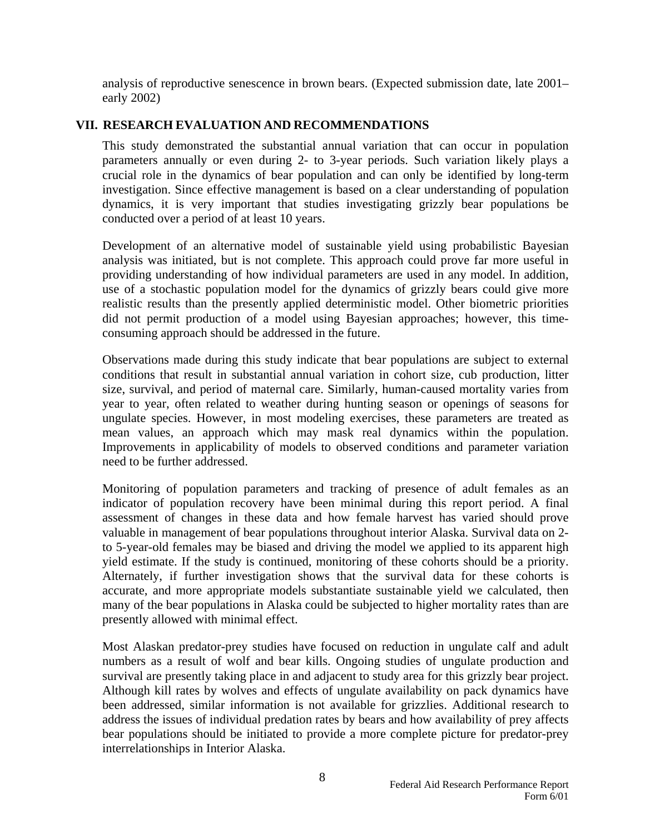analysis of reproductive senescence in brown bears. (Expected submission date, late 2001– early 2002)

#### **VII. RESEARCH EVALUATION AND RECOMMENDATIONS**

This study demonstrated the substantial annual variation that can occur in population parameters annually or even during 2- to 3-year periods. Such variation likely plays a crucial role in the dynamics of bear population and can only be identified by long-term investigation. Since effective management is based on a clear understanding of population dynamics, it is very important that studies investigating grizzly bear populations be conducted over a period of at least 10 years.

Development of an alternative model of sustainable yield using probabilistic Bayesian analysis was initiated, but is not complete. This approach could prove far more useful in providing understanding of how individual parameters are used in any model. In addition, use of a stochastic population model for the dynamics of grizzly bears could give more realistic results than the presently applied deterministic model. Other biometric priorities did not permit production of a model using Bayesian approaches; however, this timeconsuming approach should be addressed in the future.

Observations made during this study indicate that bear populations are subject to external conditions that result in substantial annual variation in cohort size, cub production, litter size, survival, and period of maternal care. Similarly, human-caused mortality varies from year to year, often related to weather during hunting season or openings of seasons for ungulate species. However, in most modeling exercises, these parameters are treated as mean values, an approach which may mask real dynamics within the population. Improvements in applicability of models to observed conditions and parameter variation need to be further addressed.

Monitoring of population parameters and tracking of presence of adult females as an indicator of population recovery have been minimal during this report period. A final assessment of changes in these data and how female harvest has varied should prove valuable in management of bear populations throughout interior Alaska. Survival data on 2 to 5-year-old females may be biased and driving the model we applied to its apparent high yield estimate. If the study is continued, monitoring of these cohorts should be a priority. Alternately, if further investigation shows that the survival data for these cohorts is accurate, and more appropriate models substantiate sustainable yield we calculated, then many of the bear populations in Alaska could be subjected to higher mortality rates than are presently allowed with minimal effect.

Most Alaskan predator-prey studies have focused on reduction in ungulate calf and adult numbers as a result of wolf and bear kills. Ongoing studies of ungulate production and survival are presently taking place in and adjacent to study area for this grizzly bear project. Although kill rates by wolves and effects of ungulate availability on pack dynamics have been addressed, similar information is not available for grizzlies. Additional research to address the issues of individual predation rates by bears and how availability of prey affects bear populations should be initiated to provide a more complete picture for predator-prey interrelationships in Interior Alaska.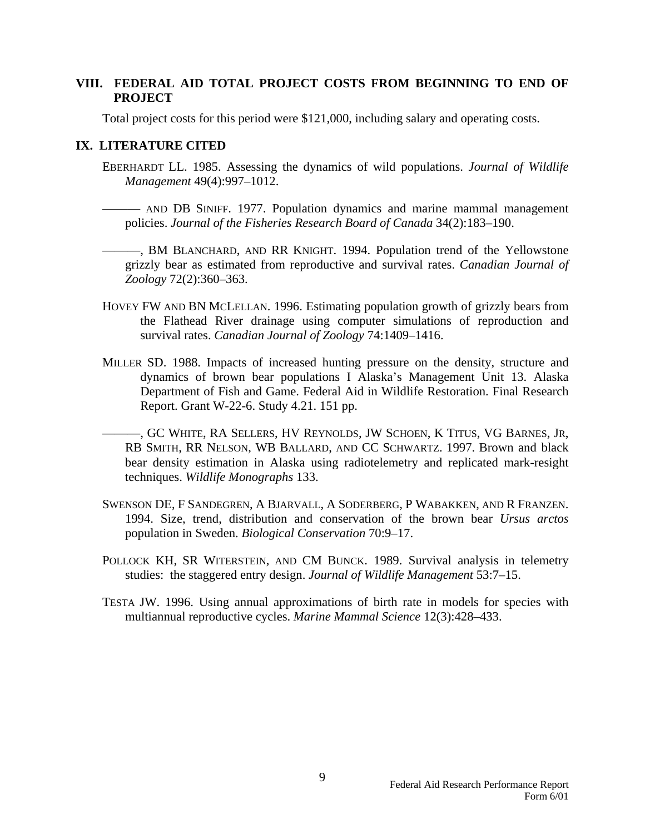#### **VIII. FEDERAL AID TOTAL PROJECT COSTS FROM BEGINNING TO END OF PROJECT**

Total project costs for this period were \$121,000, including salary and operating costs.

#### **IX. LITERATURE CITED**

- EBERHARDT LL. 1985. Assessing the dynamics of wild populations. *Journal of Wildlife Management* 49(4):997–1012.
	- ——— AND DB SINIFF. 1977. Population dynamics and marine mammal management policies. *Journal of the Fisheries Research Board of Canada* 34(2):183–190.
	- ———, BM BLANCHARD, AND RR KNIGHT. 1994. Population trend of the Yellowstone grizzly bear as estimated from reproductive and survival rates. *Canadian Journal of Zoology* 72(2):360–363.
- HOVEY FW AND BN MCLELLAN. 1996. Estimating population growth of grizzly bears from the Flathead River drainage using computer simulations of reproduction and survival rates. *Canadian Journal of Zoology* 74:1409–1416.
- MILLER SD. 1988. Impacts of increased hunting pressure on the density, structure and dynamics of brown bear populations I Alaska's Management Unit 13. Alaska Department of Fish and Game. Federal Aid in Wildlife Restoration. Final Research Report. Grant W-22-6. Study 4.21. 151 pp.
	- ———, GC WHITE, RA SELLERS, HV REYNOLDS, JW SCHOEN, K TITUS, VG BARNES, JR, RB SMITH, RR NELSON, WB BALLARD, AND CC SCHWARTZ. 1997. Brown and black bear density estimation in Alaska using radiotelemetry and replicated mark-resight techniques. *Wildlife Monographs* 133.
- SWENSON DE, F SANDEGREN, A BJARVALL, A SODERBERG, P WABAKKEN, AND R FRANZEN. 1994. Size, trend, distribution and conservation of the brown bear *Ursus arctos* population in Sweden. *Biological Conservation* 70:9–17.
- POLLOCK KH, SR WITERSTEIN, AND CM BUNCK. 1989. Survival analysis in telemetry studies: the staggered entry design. *Journal of Wildlife Management* 53:7–15.
- TESTA JW. 1996. Using annual approximations of birth rate in models for species with multiannual reproductive cycles. *Marine Mammal Science* 12(3):428–433.